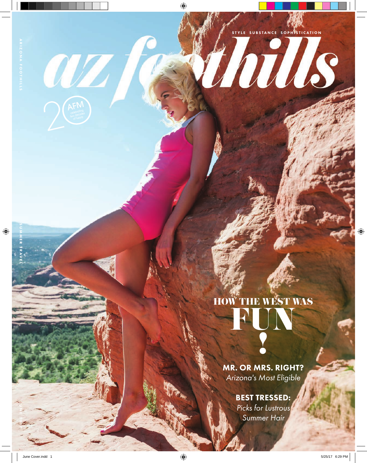WZ

STRE SUBSTANCE SOPHISTICATION

## HOW THE WEST WAS FUN

**Final Property** 

NORTH STREET

!

MR. OR MRS. RIGHT? *Arizona's Most Eligible* **1** 

### BEST TRESSED:

*Picks for Lustrous Summer Hair*

JN

017 SUMMER TRAVEL SUMMER TRAVEL SUMMER TRAVEL SUMMER TRAVEL SUMMER TRAVEL SUMMER TRAVEL SUMMER TRAVEL SUMMER T

 $\bigoplus$ 

 $\bigoplus$